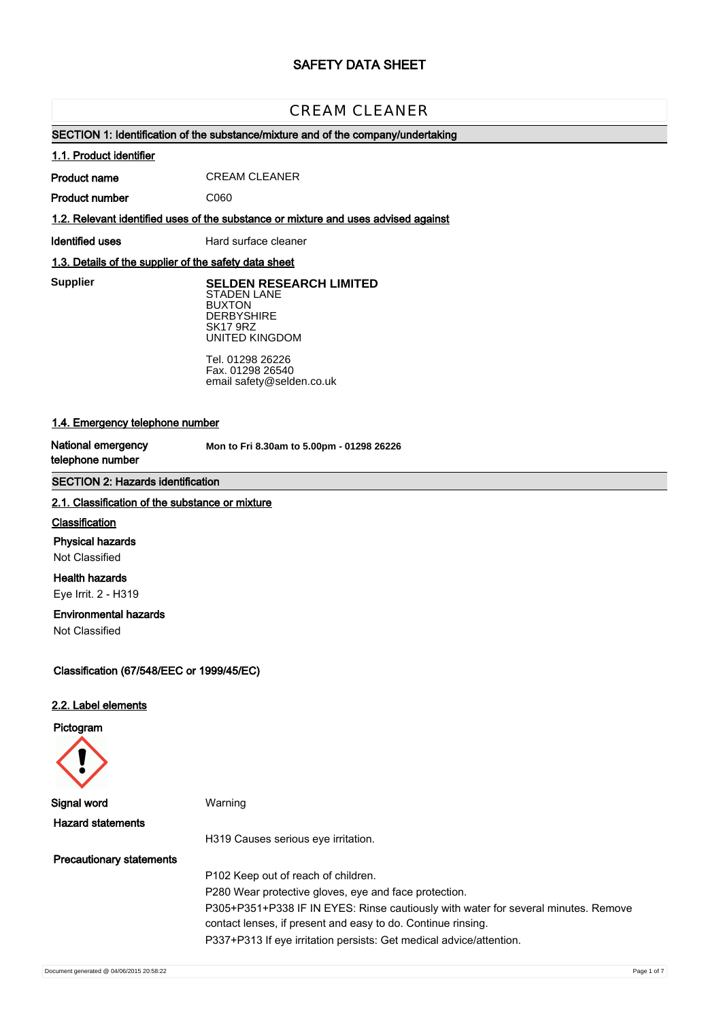# **SAFETY DATA SHEET**

# CREAM CLEANER

## **SECTION 1: Identification of the substance/mixture and of the company/undertaking**

#### **1.1. Product identifier**

**Product name** CREAM CLEANER

**Product number**

**1.2. Relevant identified uses of the substance or mixture and uses advised against**

C060

**Identified uses** Hard surface cleaner

## **1.3. Details of the supplier of the safety data sheet**

**Supplier** 

**SELDEN RESEARCH LIMITED** STADEN LANE BUXTON **DERBYSHIRE** SK17 9RZ UNITED KINGDOM

Tel. 01298 26226 Fax. 01298 26540 email safety@selden.co.uk

## **1.4. Emergency telephone number**

**National emergency telephone number**

**Mon to Fri 8.30am to 5.00pm - 01298 26226**

## **SECTION 2: Hazards identification**

#### **2.1. Classification of the substance or mixture**

## **Classification**

**Physical hazards**

Not Classified

# **Health hazards**

Eye Irrit. 2 - H319

## **Environmental hazards**

Not Classified

## **Classification (67/548/EEC or 1999/45/EC)**

#### **2.2. Label elements**

#### **Pictogram**



**Signal word** Warning **Hazard statements** H319 Causes serious eye irritation. **Precautionary statements** P102 Keep out of reach of children. P280 Wear protective gloves, eye and face protection. P305+P351+P338 IF IN EYES: Rinse cautiously with water for several minutes. Remove contact lenses, if present and easy to do. Continue rinsing. P337+P313 If eye irritation persists: Get medical advice/attention.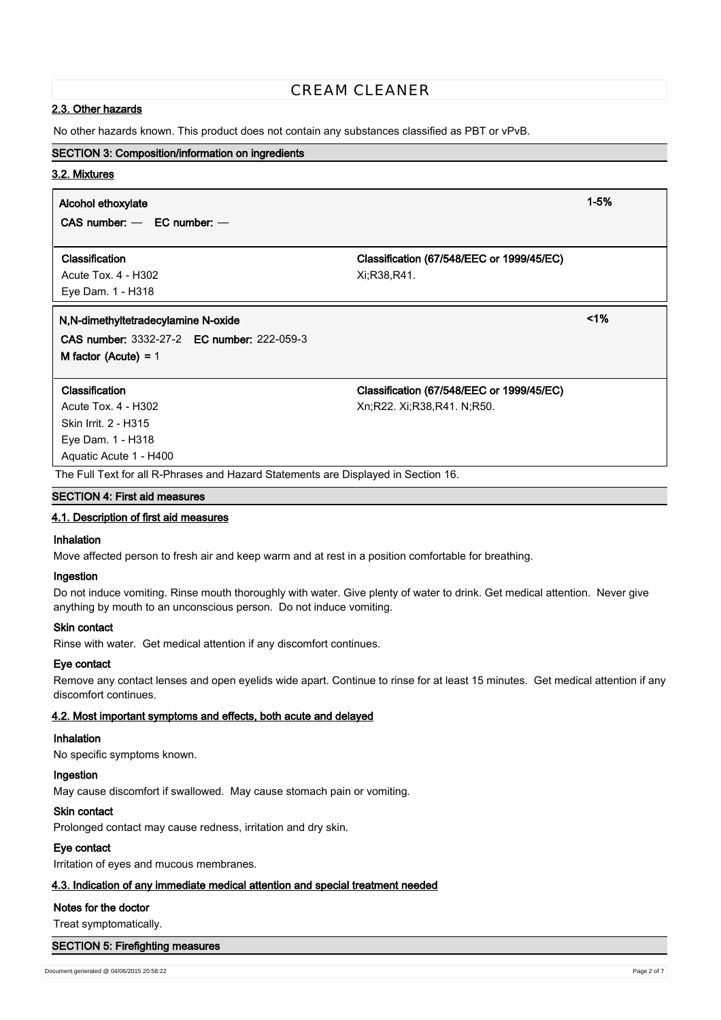## **2.3. Other hazards**

No other hazards known. This product does not contain any substances classified as PBT or vPvB.

## **SECTION 3: Composition/information on ingredients**

## **3.2. Mixtures**

## **Alcohol ethoxylate 1-5%**

**CAS number:** — **EC number:** —

### **Classification Classification (67/548/EEC or 1999/45/EC)**

Acute Tox. 4 - H302 Xi;R38,R41. Eye Dam. 1 - H318

## **N,N-dimethyltetradecylamine N-oxide <1%**

**CAS number:** 3332-27-2 **EC number:** 222-059-3 **M factor (Acute) =** 1

Skin Irrit. 2 - H315 Eye Dam. 1 - H318 Aquatic Acute 1 - H400

**Classification Classification (67/548/EEC or 1999/45/EC)**

Acute Tox. 4 - H302 Xn;R22. Xi;R38,R41. N;R50.

The Full Text for all R-Phrases and Hazard Statements are Displayed in Section 16.

## **SECTION 4: First aid measures**

## **4.1. Description of first aid measures**

#### **Inhalation**

Move affected person to fresh air and keep warm and at rest in a position comfortable for breathing.

#### **Ingestion**

Do not induce vomiting. Rinse mouth thoroughly with water. Give plenty of water to drink. Get medical attention. Never give anything by mouth to an unconscious person. Do not induce vomiting.

## **Skin contact**

Rinse with water. Get medical attention if any discomfort continues.

## **Eye contact**

Remove any contact lenses and open eyelids wide apart. Continue to rinse for at least 15 minutes. Get medical attention if any discomfort continues.

## **4.2. Most important symptoms and effects, both acute and delayed**

## **Inhalation**

No specific symptoms known.

## **Ingestion**

May cause discomfort if swallowed. May cause stomach pain or vomiting.

## **Skin contact**

Prolonged contact may cause redness, irritation and dry skin.

## **Eye contact**

Irritation of eyes and mucous membranes.

## **4.3. Indication of any immediate medical attention and special treatment needed**

## **Notes for the doctor**

Treat symptomatically.

## **SECTION 5: Firefighting measures**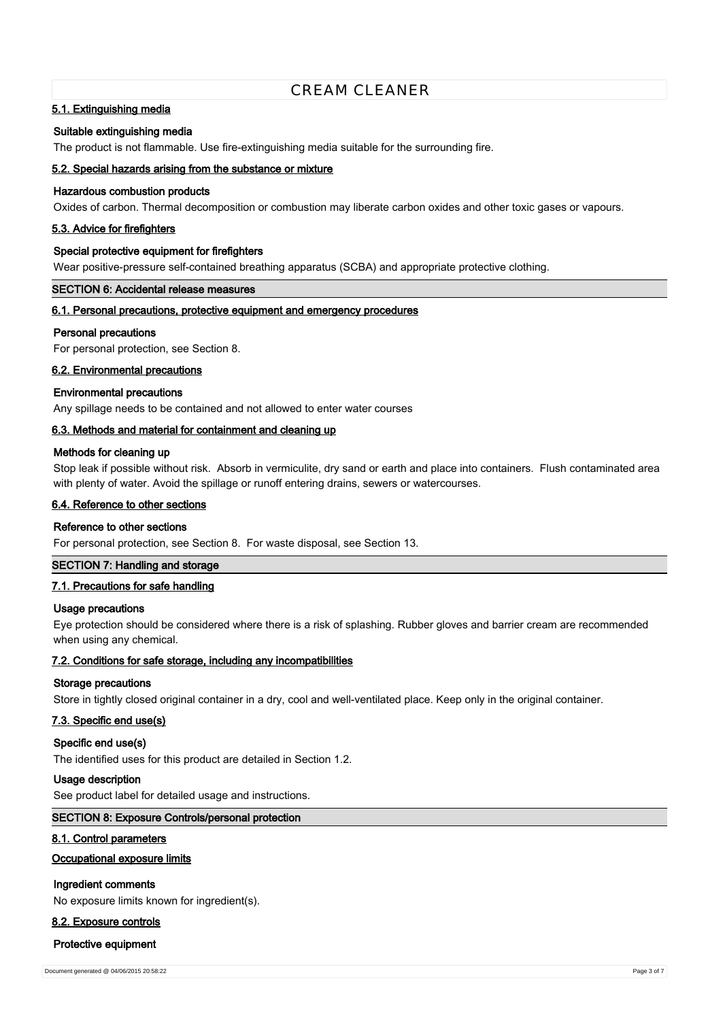## **5.1. Extinguishing media**

#### **Suitable extinguishing media**

The product is not flammable. Use fire-extinguishing media suitable for the surrounding fire.

### **5.2. Special hazards arising from the substance or mixture**

## **Hazardous combustion products**

Oxides of carbon. Thermal decomposition or combustion may liberate carbon oxides and other toxic gases or vapours.

#### **5.3. Advice for firefighters**

#### **Special protective equipment for firefighters**

Wear positive-pressure self-contained breathing apparatus (SCBA) and appropriate protective clothing.

## **SECTION 6: Accidental release measures**

## **6.1. Personal precautions, protective equipment and emergency procedures**

#### **Personal precautions**

For personal protection, see Section 8.

#### **6.2. Environmental precautions**

## **Environmental precautions**

Any spillage needs to be contained and not allowed to enter water courses

## **6.3. Methods and material for containment and cleaning up**

#### **Methods for cleaning up**

Stop leak if possible without risk. Absorb in vermiculite, dry sand or earth and place into containers. Flush contaminated area with plenty of water. Avoid the spillage or runoff entering drains, sewers or watercourses.

## **6.4. Reference to other sections**

#### **Reference to other sections**

For personal protection, see Section 8. For waste disposal, see Section 13.

## **SECTION 7: Handling and storage**

#### **7.1. Precautions for safe handling**

#### **Usage precautions**

Eye protection should be considered where there is a risk of splashing. Rubber gloves and barrier cream are recommended when using any chemical.

#### **7.2. Conditions for safe storage, including any incompatibilities**

#### **Storage precautions**

Store in tightly closed original container in a dry, cool and well-ventilated place. Keep only in the original container.

#### **7.3. Specific end use(s)**

### **Specific end use(s)**

The identified uses for this product are detailed in Section 1.2.

#### **Usage description**

See product label for detailed usage and instructions.

## **SECTION 8: Exposure Controls/personal protection**

#### **8.1. Control parameters**

## **Occupational exposure limits**

## **Ingredient comments**

No exposure limits known for ingredient(s).

## **8.2. Exposure controls**

#### **Protective equipment**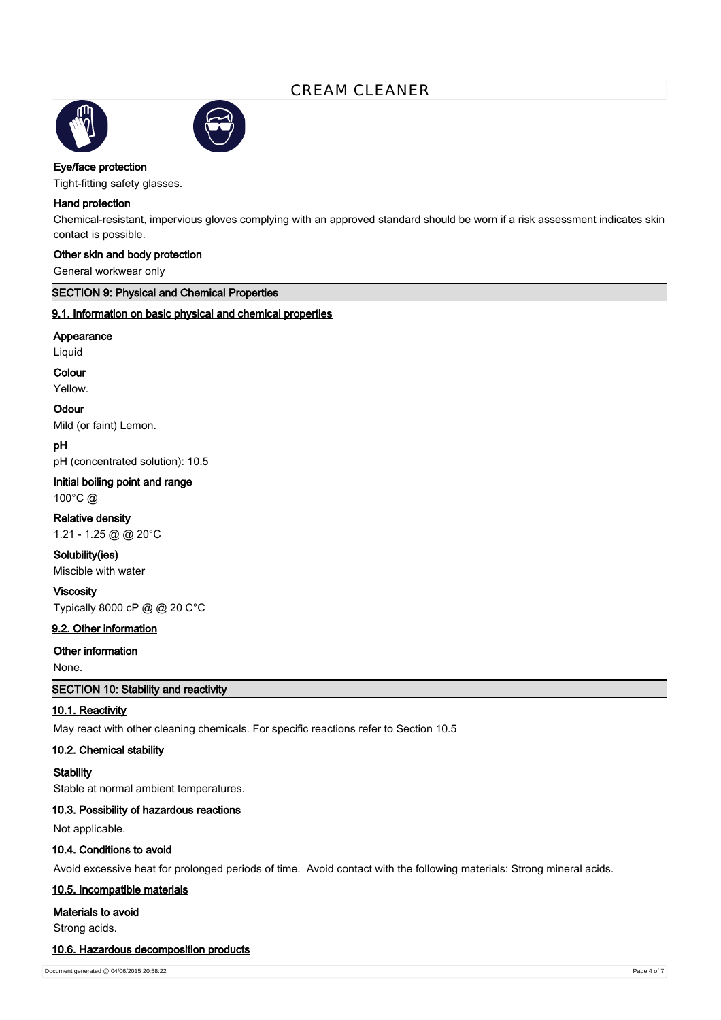



## **Eye/face protection**

Tight-fitting safety glasses.

#### **Hand protection**

Chemical-resistant, impervious gloves complying with an approved standard should be worn if a risk assessment indicates skin contact is possible.

## **Other skin and body protection**

General workwear only

## **SECTION 9: Physical and Chemical Properties**

## **9.1. Information on basic physical and chemical properties**

#### **Appearance**

Liquid

#### **Colour**

Yellow.

### **Odour**

Mild (or faint) Lemon.

## **pH**

pH (concentrated solution): 10.5

### **Initial boiling point and range**

100°C @

## **Relative density**

1.21 - 1.25 @ @ 20°C

# **Solubility(ies)**

Miscible with water

## **Viscosity**

Typically 8000 cP @ @ 20 C°C

## **9.2. Other information**

## **Other information**

None.

## **SECTION 10: Stability and reactivity**

## **10.1. Reactivity**

May react with other cleaning chemicals. For specific reactions refer to Section 10.5

## **10.2. Chemical stability**

**Stability**

Stable at normal ambient temperatures.

## **10.3. Possibility of hazardous reactions**

Not applicable.

## **10.4. Conditions to avoid**

Avoid excessive heat for prolonged periods of time. Avoid contact with the following materials: Strong mineral acids.

#### **10.5. Incompatible materials**

**Materials to avoid**

Strong acids.

## **10.6. Hazardous decomposition products**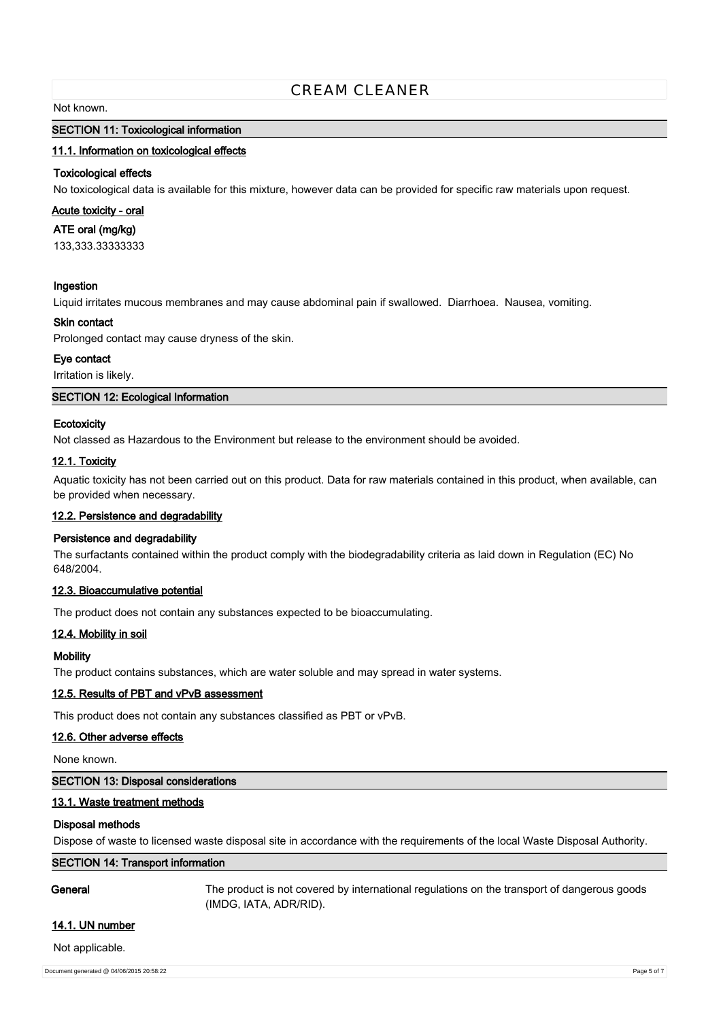#### Not known.

## **SECTION 11: Toxicological information**

### **11.1. Information on toxicological effects**

### **Toxicological effects**

No toxicological data is available for this mixture, however data can be provided for specific raw materials upon request.

#### **Acute toxicity - oral**

**ATE oral (mg/kg)**

133,333.33333333

#### **Ingestion**

Liquid irritates mucous membranes and may cause abdominal pain if swallowed. Diarrhoea. Nausea, vomiting.

#### **Skin contact**

Prolonged contact may cause dryness of the skin.

## **Eye contact**

Irritation is likely.

### **SECTION 12: Ecological Information**

#### **Ecotoxicity**

Not classed as Hazardous to the Environment but release to the environment should be avoided.

### **12.1. Toxicity**

Aquatic toxicity has not been carried out on this product. Data for raw materials contained in this product, when available, can be provided when necessary.

## **12.2. Persistence and degradability**

## **Persistence and degradability**

The surfactants contained within the product comply with the biodegradability criteria as laid down in Regulation (EC) No 648/2004.

## **12.3. Bioaccumulative potential**

The product does not contain any substances expected to be bioaccumulating.

#### **12.4. Mobility in soil**

#### **Mobility**

The product contains substances, which are water soluble and may spread in water systems.

#### **12.5. Results of PBT and vPvB assessment**

This product does not contain any substances classified as PBT or vPvB.

#### **12.6. Other adverse effects**

None known.

## **SECTION 13: Disposal considerations**

## **13.1. Waste treatment methods**

#### **Disposal methods**

Dispose of waste to licensed waste disposal site in accordance with the requirements of the local Waste Disposal Authority.

## **SECTION 14: Transport information**

**General** The product is not covered by international regulations on the transport of dangerous goods (IMDG, IATA, ADR/RID).

## **14.1. UN number**

Not applicable.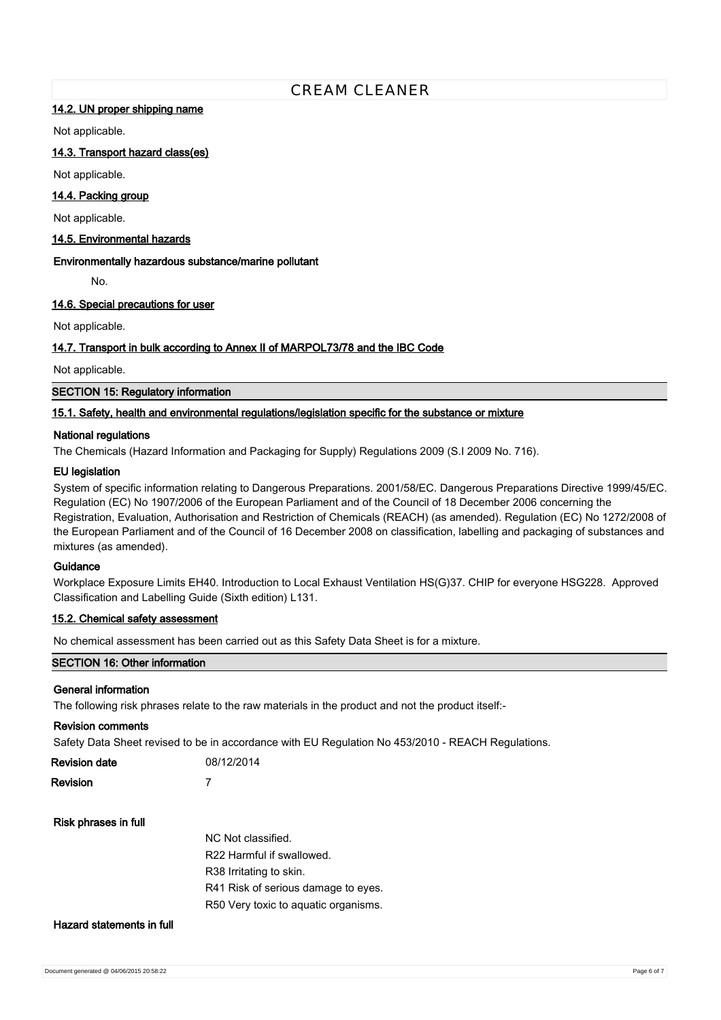## **14.2. UN proper shipping name**

Not applicable.

## **14.3. Transport hazard class(es)**

Not applicable.

## **14.4. Packing group**

Not applicable.

## **14.5. Environmental hazards**

## **Environmentally hazardous substance/marine pollutant**

No.

## **14.6. Special precautions for user**

Not applicable.

## **14.7. Transport in bulk according to Annex II of MARPOL73/78 and the IBC Code**

Not applicable.

**SECTION 15: Regulatory information**

## **15.1. Safety, health and environmental regulations/legislation specific for the substance or mixture**

### **National regulations**

The Chemicals (Hazard Information and Packaging for Supply) Regulations 2009 (S.I 2009 No. 716).

### **EU legislation**

System of specific information relating to Dangerous Preparations. 2001/58/EC. Dangerous Preparations Directive 1999/45/EC. Regulation (EC) No 1907/2006 of the European Parliament and of the Council of 18 December 2006 concerning the Registration, Evaluation, Authorisation and Restriction of Chemicals (REACH) (as amended). Regulation (EC) No 1272/2008 of the European Parliament and of the Council of 16 December 2008 on classification, labelling and packaging of substances and mixtures (as amended).

## **Guidance**

Workplace Exposure Limits EH40. Introduction to Local Exhaust Ventilation HS(G)37. CHIP for everyone HSG228. Approved Classification and Labelling Guide (Sixth edition) L131.

## **15.2. Chemical safety assessment**

No chemical assessment has been carried out as this Safety Data Sheet is for a mixture.

## **SECTION 16: Other information**

#### **General information**

The following risk phrases relate to the raw materials in the product and not the product itself:-

#### **Revision comments**

Safety Data Sheet revised to be in accordance with EU Regulation No 453/2010 - REACH Regulations.

| Revision date | 08/12/2014 |
|---------------|------------|
| Revision      |            |

## **Risk phrases in full**

| NC Not classified.                   |
|--------------------------------------|
| R22 Harmful if swallowed.            |
| R38 Irritating to skin.              |
| R41 Risk of serious damage to eyes.  |
| R50 Very toxic to aquatic organisms. |
|                                      |

## **Hazard statements in full**